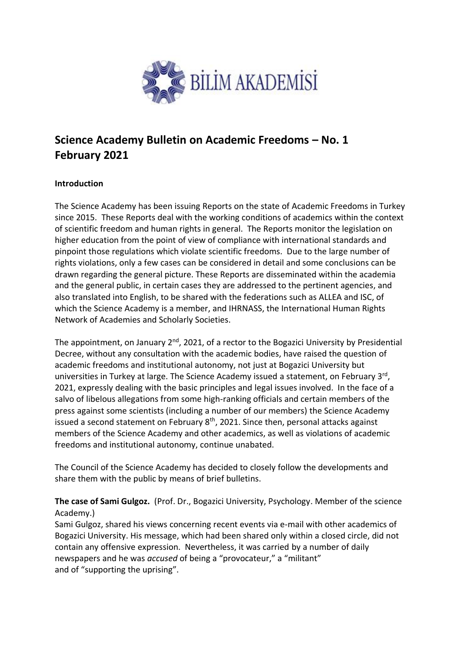

## **Science Academy Bulletin on Academic Freedoms – No. 1 February 2021**

## **Introduction**

The Science Academy has been issuing Reports on the state of Academic Freedoms in Turkey since 2015. These Reports deal with the working conditions of academics within the context of scientific freedom and human rights in general. The Reports monitor the legislation on higher education from the point of view of compliance with international standards and pinpoint those regulations which violate scientific freedoms. Due to the large number of rights violations, only a few cases can be considered in detail and some conclusions can be drawn regarding the general picture. These Reports are disseminated within the academia and the general public, in certain cases they are addressed to the pertinent agencies, and also translated into English, to be shared with the federations such as ALLEA and ISC, of which the Science Academy is a member, and IHRNASS, the International Human Rights Network of Academies and Scholarly Societies.

The appointment, on January 2<sup>nd</sup>, 2021, of a rector to the Bogazici University by Presidential Decree, without any consultation with the academic bodies, have raised the question of academic freedoms and institutional autonomy, not just at Bogazici University but universities in Turkey at large. The Science Academy issued a statement, on February 3rd, 2021, expressly dealing with the basic principles and legal issues involved. In the face of a salvo of libelous allegations from some high-ranking officials and certain members of the press against some scientists (including a number of our members) the Science Academy issued a second statement on February  $8<sup>th</sup>$ , 2021. Since then, personal attacks against members of the Science Academy and other academics, as well as violations of academic freedoms and institutional autonomy, continue unabated.

The Council of the Science Academy has decided to closely follow the developments and share them with the public by means of brief bulletins.

**The case of Sami Gulgoz.** (Prof. Dr., Bogazici University, Psychology. Member of the science Academy.)

Sami Gulgoz, shared his views concerning recent events via e-mail with other academics of Bogazici University. His message, which had been shared only within a closed circle, did not contain any offensive expression. Nevertheless, it was carried by a number of daily newspapers and he was *accused* of being a "provocateur," a "militant" and of "supporting the uprising".